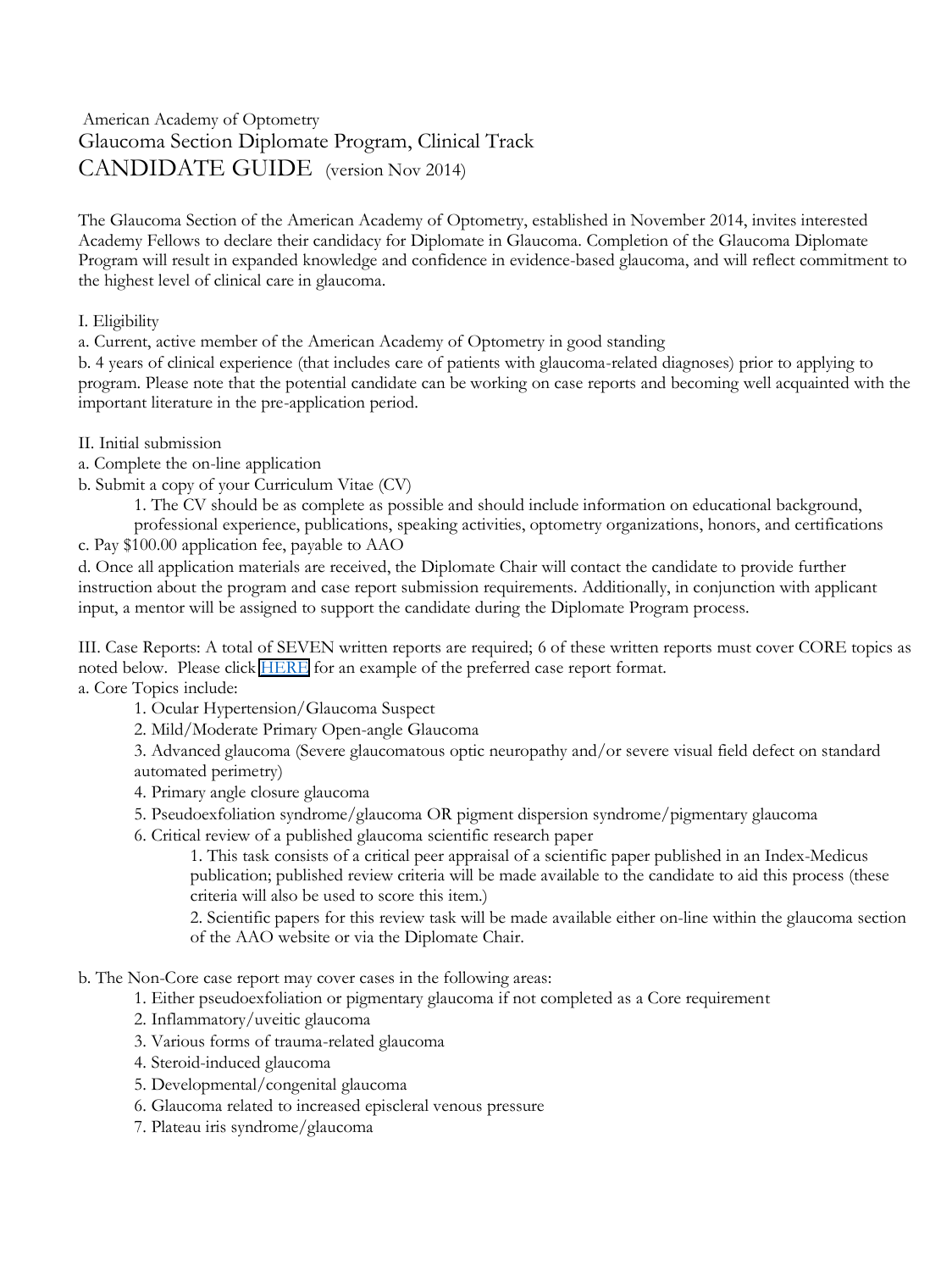## American Academy of Optometry Glaucoma Section Diplomate Program, Clinical Track CANDIDATE GUIDE (version Nov 2014)

The Glaucoma Section of the American Academy of Optometry, established in November 2014, invites interested Academy Fellows to declare their candidacy for Diplomate in Glaucoma. Completion of the Glaucoma Diplomate Program will result in expanded knowledge and confidence in evidence-based glaucoma, and will reflect commitment to the highest level of clinical care in glaucoma.

## I. Eligibility

a. Current, active member of the American Academy of Optometry in good standing

b. 4 years of clinical experience (that includes care of patients with glaucoma-related diagnoses) prior to applying to program. Please note that the potential candidate can be working on case reports and becoming well acquainted with the important literature in the pre-application period.

- II. Initial submission
- a. Complete the on-line application
- b. Submit a copy of your Curriculum Vitae (CV)

1. The CV should be as complete as possible and should include information on educational background,

professional experience, publications, speaking activities, optometry organizations, honors, and certifications

c. Pay \$100.00 application fee, payable to AAO

d. Once all application materials are received, the Diplomate Chair will contact the candidate to provide further instruction about the program and case report submission requirements. Additionally, in conjunction with applicant input, a mentor will be assigned to support the candidate during the Diplomate Program process.

III. Case Reports: A total of SEVEN written reports are required; 6 of these written reports must cover CORE topics as noted below. Please click [HERE](https://www.aaopt.org/docs/glaucoma-section/misc.-glaucoma-docs/final_sample-case-report-glaucoma-section-diplomate-program_7118.pdf?sfvrsn=69183cda_2) for an example of the preferred case report format. a. Core Topics include:

- 1. Ocular Hypertension/Glaucoma Suspect
- 2. Mild/Moderate Primary Open-angle Glaucoma

3. Advanced glaucoma (Severe glaucomatous optic neuropathy and/or severe visual field defect on standard automated perimetry)

4. Primary angle closure glaucoma

- 5. Pseudoexfoliation syndrome/glaucoma OR pigment dispersion syndrome/pigmentary glaucoma
- 6. Critical review of a published glaucoma scientific research paper

1. This task consists of a critical peer appraisal of a scientific paper published in an Index-Medicus publication; published review criteria will be made available to the candidate to aid this process (these criteria will also be used to score this item.)

2. Scientific papers for this review task will be made available either on-line within the glaucoma section of the AAO website or via the Diplomate Chair.

b. The Non-Core case report may cover cases in the following areas:

- 1. Either pseudoexfoliation or pigmentary glaucoma if not completed as a Core requirement
- 2. Inflammatory/uveitic glaucoma
- 3. Various forms of trauma-related glaucoma
- 4. Steroid-induced glaucoma
- 5. Developmental/congenital glaucoma
- 6. Glaucoma related to increased episcleral venous pressure
- 7. Plateau iris syndrome/glaucoma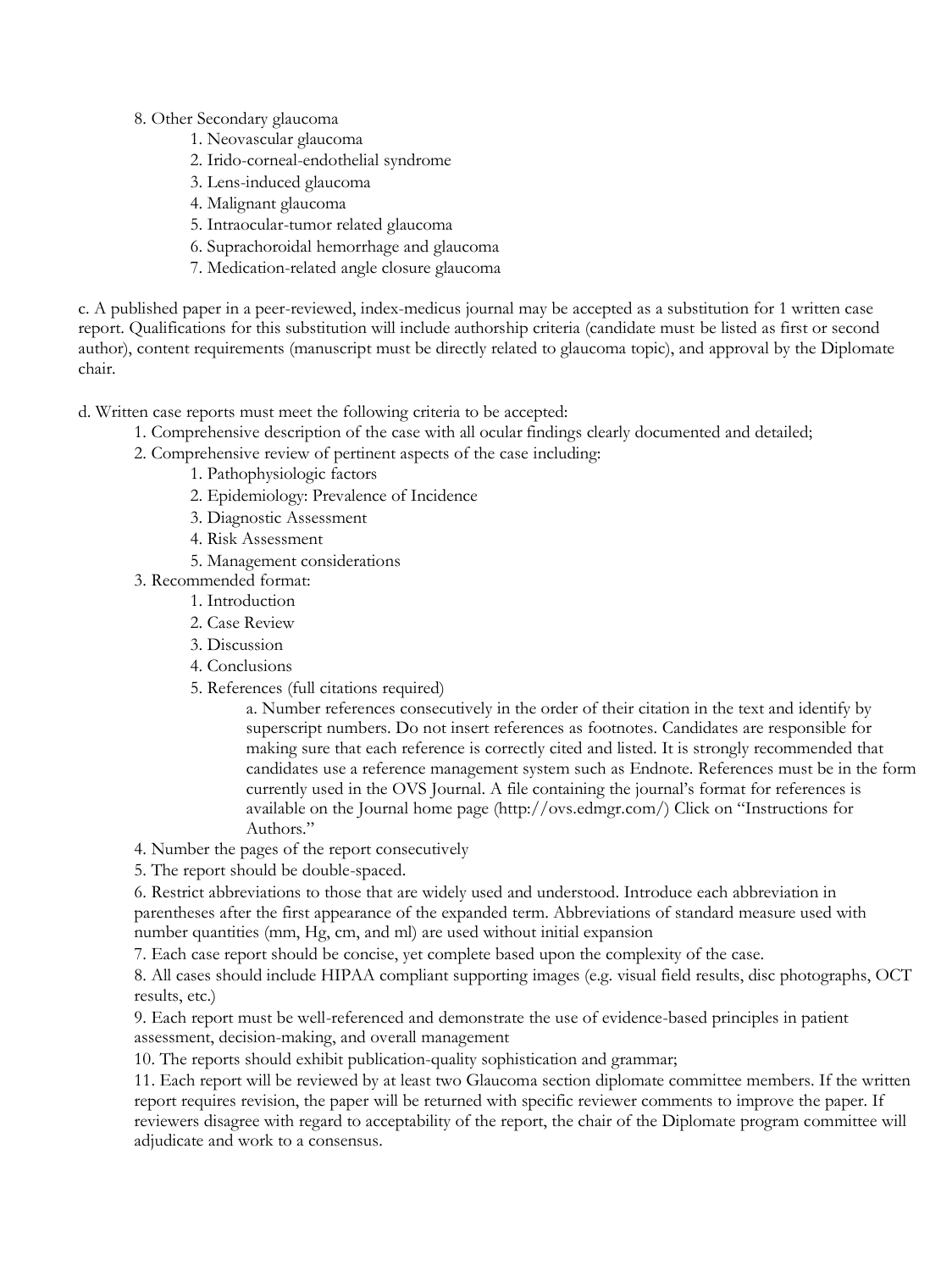8. Other Secondary glaucoma

- 1. Neovascular glaucoma
- 2. Irido-corneal-endothelial syndrome
- 3. Lens-induced glaucoma
- 4. Malignant glaucoma
- 5. Intraocular-tumor related glaucoma
- 6. Suprachoroidal hemorrhage and glaucoma
- 7. Medication-related angle closure glaucoma

c. A published paper in a peer-reviewed, index-medicus journal may be accepted as a substitution for 1 written case report. Qualifications for this substitution will include authorship criteria (candidate must be listed as first or second author), content requirements (manuscript must be directly related to glaucoma topic), and approval by the Diplomate chair.

d. Written case reports must meet the following criteria to be accepted:

- 1. Comprehensive description of the case with all ocular findings clearly documented and detailed;
- 2. Comprehensive review of pertinent aspects of the case including:
	- 1. Pathophysiologic factors
	- 2. Epidemiology: Prevalence of Incidence
	- 3. Diagnostic Assessment
	- 4. Risk Assessment
	- 5. Management considerations
- 3. Recommended format:
	- 1. Introduction
	- 2. Case Review
	- 3. Discussion
	- 4. Conclusions
	- 5. References (full citations required)

a. Number references consecutively in the order of their citation in the text and identify by superscript numbers. Do not insert references as footnotes. Candidates are responsible for making sure that each reference is correctly cited and listed. It is strongly recommended that candidates use a reference management system such as Endnote. References must be in the form currently used in the OVS Journal. A file containing the journal's format for references is available on the Journal home page (http://ovs.edmgr.com/) Click on "Instructions for Authors."

4. Number the pages of the report consecutively

5. The report should be double-spaced.

6. Restrict abbreviations to those that are widely used and understood. Introduce each abbreviation in parentheses after the first appearance of the expanded term. Abbreviations of standard measure used with number quantities (mm, Hg, cm, and ml) are used without initial expansion

7. Each case report should be concise, yet complete based upon the complexity of the case.

8. All cases should include HIPAA compliant supporting images (e.g. visual field results, disc photographs, OCT results, etc.)

9. Each report must be well-referenced and demonstrate the use of evidence-based principles in patient assessment, decision-making, and overall management

10. The reports should exhibit publication-quality sophistication and grammar;

11. Each report will be reviewed by at least two Glaucoma section diplomate committee members. If the written report requires revision, the paper will be returned with specific reviewer comments to improve the paper. If reviewers disagree with regard to acceptability of the report, the chair of the Diplomate program committee will adjudicate and work to a consensus.